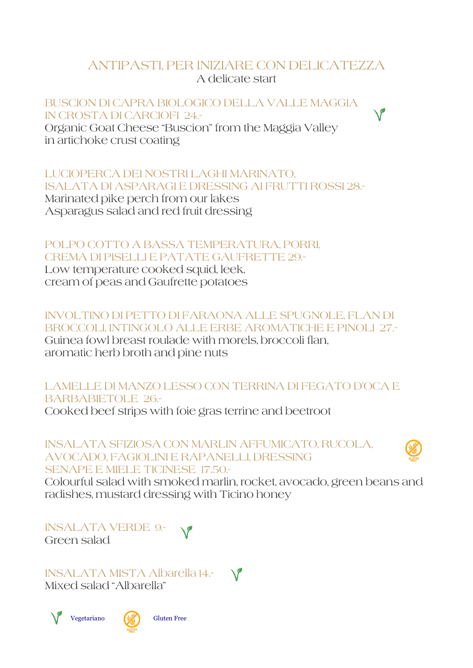# ANTIPASTI, PER INIZIARE CON DELICATEZZA A delicate start

BUSCION DI CAPRA BIOLOGICO DELLA VALLE MAGGIA IN CROSTA DI CARCIOFI 24.-

Organic Goat Cheese "Buscion" from the Maggia Valley in artichoke crust coating

LUCIOPERCA DEI NOSTRI LAGHI MARINATO, ISALATA DI ASPARAGI E DRESSING AI FRUTTI ROSSI 28.- Marinated pike perch from our lakes

Asparagus salad and red fruit dressing

# POLPO COTTO A BASSA TEMPERATURA, PORRI, CREMA DI PISELLI E PATATE GAUFRETTE 29.-

Low temperature cooked squid, leek, cream of peas and Gaufrette potatoes

#### INVOLTINO DI PETTO DI FARAONA ALLE SPUGNOLE, FLAN DI BROCCOLI, INTINGOLO ALLE ERBE AROMATICHE E PINOLI 27.- Guinea fowl breast roulade with morels, broccoli flan,

aromatic herb broth and pine nuts

### LAMELLE DI MANZO LESSO CON TERRINA DI FEGATO D'OCA E BARBABIETOLE 26.-

Cooked beef strips with foie gras terrine and beetroot

INSALATA SFIZIOSA CON MARLIN AFFUMICATO, RUCOLA, AVOCADO, FAGIOLINI E RAPANELLI, DRESSING SENAPE E MIELE TICINESE 17.50.-



Colourful salad with smoked marlin, rocket, avocado, green beans and radishes, mustard dressing with Ticino honey

INSALATA VERDE 9.- Green salad

INSALATA MISTA Albarella 14.- Mixed salad "Albarella"

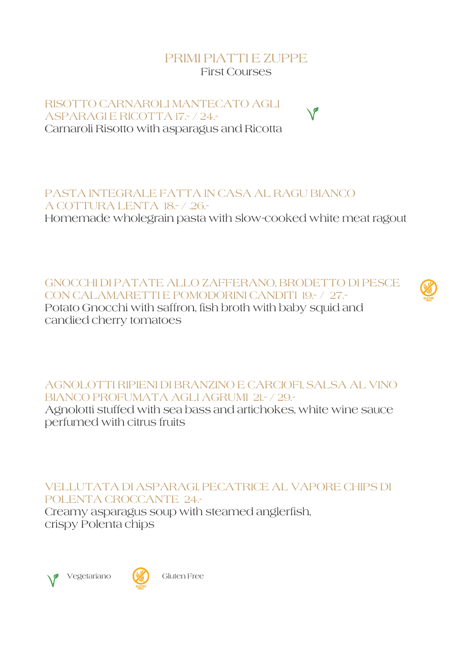### PRIMI PIATTI E ZUPPE First Courses

RISOTTO CARNAROLI MANTECATO AGLI ASPARAGI E RICOTTA 17.- / 24.- Carnaroli Risotto with asparagus and Ricotta

PASTA INTEGRALE FATTA IN CASA AL RAGU BIANCO A COTTURA LENTA 18.- / .26.-

Homemade wholegrain pasta with slow-cooked white meat ragout

GNOCCHI DI PATATE ALLO ZAFFERANO, BRODETTO DI PESCE CON CALAMARETTI E POMODORINI CANDITI 19.- / 27.- Potato Gnocchi with saffron, fish broth with baby squid and candied cherry tomatoes



AGNOLOTTI RIPIENI DI BRANZINO E CARCIOFI, SALSA AL VINO BIANCO PROFUMATA AGLI AGRUMI 21.- / 29.-

Agnolotti stuffed with sea bass and artichokes, white wine sauce perfumed with citrus fruits

VELLUTATA DI ASPARAGI, PECATRICE AL VAPORE CHIPS DI POLENTA CROCCANTE 24.-

Creamy asparagus soup with steamed anglerfish, crispy Polenta chips





Vegetariano (**W)** Gluten Free